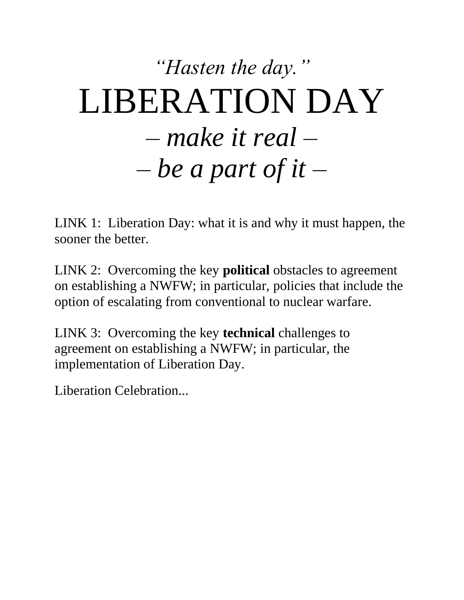## *"Hasten the day."* LIBERATION DAY – *make it real* – – *be a part of it* –

LINK 1: Liberation Day: what it is and why it must happen, the sooner the better.

LINK 2: Overcoming the key **political** obstacles to agreement on establishing a NWFW; in particular, policies that include the option of escalating from conventional to nuclear warfare.

LINK 3: Overcoming the key **technical** challenges to agreement on establishing a NWFW; in particular, the implementation of Liberation Day.

Liberation Celebration...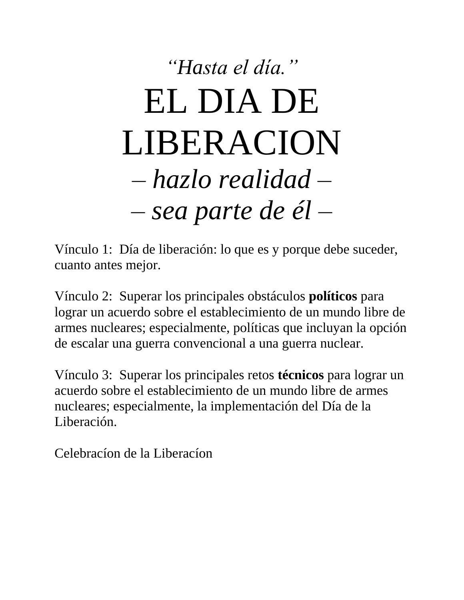# *"Hasta el día."* EL DIA DE LIBERACION – *hazlo realidad* – – *sea parte de él* –

Vínculo 1: Día de liberación: lo que es y porque debe suceder, cuanto antes mejor.

Vínculo 2: Superar los principales obstáculos **políticos** para lograr un acuerdo sobre el establecimiento de un mundo libre de armes nucleares; especialmente, políticas que incluyan la opción de escalar una guerra convencional a una guerra nuclear.

Vínculo 3: Superar los principales retos **técnicos** para lograr un acuerdo sobre el establecimiento de un mundo libre de armes nucleares; especialmente, la implementación del Día de la Liberación.

Celebracíon de la Liberacíon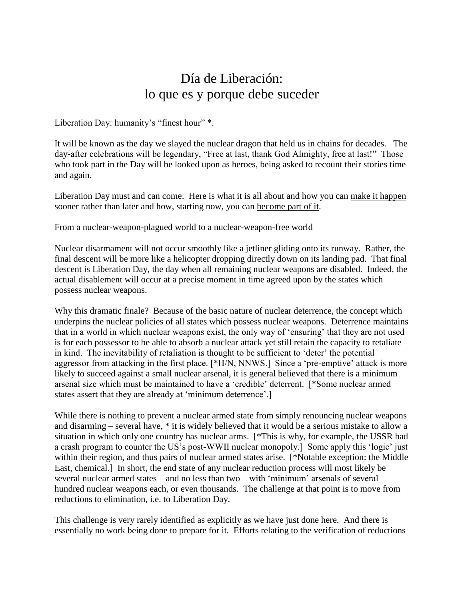### Día de Liberación: lo que es y porque debe suceder

Liberation Day: humanity's "finest hour" \*.

It will be known as the day we slayed the nuclear dragon that held us in chains for decades. The day-after celebrations will be legendary, "Free at last, thank God Almighty, free at last!" Those who took part in the Day will be looked upon as heroes, being asked to recount their stories time and again.

Liberation Day must and can come. Here is what it is all about and how you can make it happen sooner rather than later and how, starting now, you can become part of it.

From a nuclear-weapon-plagued world to a nuclear-weapon-free world

Nuclear disarmament will not occur smoothly like a jetliner gliding onto its runway. Rather, the final descent will be more like a helicopter dropping directly down on its landing pad. That final descent is Liberation Day, the day when all remaining nuclear weapons are disabled. Indeed, the actual disablement will occur at a precise moment in time agreed upon by the states which possess nuclear weapons.

Why this dramatic finale? Because of the basic nature of nuclear deterrence, the concept which underpins the nuclear policies of all states which possess nuclear weapons. Deterrence maintains that in a world in which nuclear weapons exist, the only way of 'ensuring' that they are not used is for each possessor to be able to absorb a nuclear attack yet still retain the capacity to retaliate in kind. The inevitability of retaliation is thought to be sufficient to 'deter' the potential aggressor from attacking in the first place. [\*H/N, NNWS.] Since a 'pre-emptive' attack is more likely to succeed against a small nuclear arsenal, it is general believed that there is a minimum arsenal size which must be maintained to have a 'credible' deterrent. [\*Some nuclear armed states assert that they are already at 'minimum deterrence'.]

While there is nothing to prevent a nuclear armed state from simply renouncing nuclear weapons and disarming – several have, \* it is widely believed that it would be a serious mistake to allow a situation in which only one country has nuclear arms. [\*This is why, for example, the USSR had a crash program to counter the US's post-WWII nuclear monopoly.] Some apply this 'logic' just within their region, and thus pairs of nuclear armed states arise. [\*Notable exception: the Middle East, chemical.] In short, the end state of any nuclear reduction process will most likely be several nuclear armed states – and no less than two – with 'minimum' arsenals of several hundred nuclear weapons each, or even thousands. The challenge at that point is to move from reductions to elimination, i.e. to Liberation Day.

This challenge is very rarely identified as explicitly as we have just done here. And there is essentially no work being done to prepare for it. Efforts relating to the verification of reductions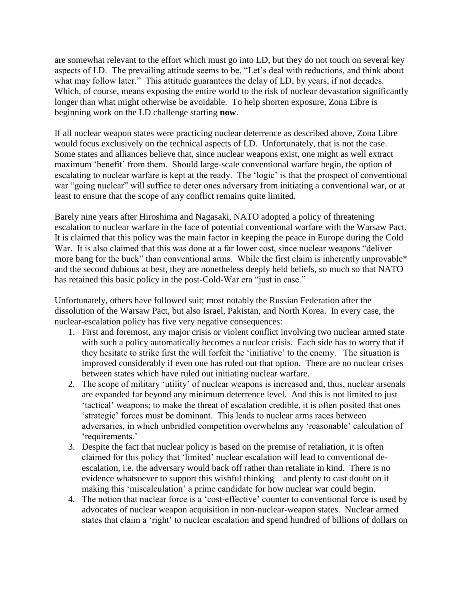are somewhat relevant to the effort which must go into LD, but they do not touch on several key aspects of LD. The prevailing attitude seems to be, "Let's deal with reductions, and think about what may follow later." This attitude guarantees the delay of LD, by years, if not decades. Which, of course, means exposing the entire world to the risk of nuclear devastation significantly longer than what might otherwise be avoidable. To help shorten exposure, Zona Libre is beginning work on the LD challenge starting **now**.

If all nuclear weapon states were practicing nuclear deterrence as described above, Zona Libre would focus exclusively on the technical aspects of LD. Unfortunately, that is not the case. Some states and alliances believe that, since nuclear weapons exist, one might as well extract maximum 'benefit' from them. Should large-scale conventional warfare begin, the option of escalating to nuclear warfare is kept at the ready. The 'logic' is that the prospect of conventional war "going nuclear" will suffice to deter ones adversary from initiating a conventional war, or at least to ensure that the scope of any conflict remains quite limited.

Barely nine years after Hiroshima and Nagasaki, NATO adopted a policy of threatening escalation to nuclear warfare in the face of potential conventional warfare with the Warsaw Pact. It is claimed that this policy was the main factor in keeping the peace in Europe during the Cold War. It is also claimed that this was done at a far lower cost, since nuclear weapons "deliver more bang for the buck" than conventional arms. While the first claim is inherently unprovable\* and the second dubious at best, they are nonetheless deeply held beliefs, so much so that NATO has retained this basic policy in the post-Cold-War era "just in case."

Unfortunately, others have followed suit; most notably the Russian Federation after the dissolution of the Warsaw Pact, but also Israel, Pakistan, and North Korea. In every case, the nuclear-escalation policy has five very negative consequences:

- 1. First and foremost, any major crisis or violent conflict involving two nuclear armed state with such a policy automatically becomes a nuclear crisis. Each side has to worry that if they hesitate to strike first the will forfeit the 'initiative' to the enemy. The situation is improved considerably if even one has ruled out that option. There are no nuclear crises between states which have ruled out initiating nuclear warfare.
- 2. The scope of military 'utility' of nuclear weapons is increased and, thus, nuclear arsenals are expanded far beyond any minimum deterrence level. And this is not limited to just 'tactical' weapons; to make the threat of escalation credible, it is often posited that ones 'strategic' forces must be dominant. This leads to nuclear arms races between adversaries, in which unbridled competition overwhelms any 'reasonable' calculation of 'requirements.'
- 3. Despite the fact that nuclear policy is based on the premise of retaliation, it is often claimed for this policy that 'limited' nuclear escalation will lead to conventional deescalation, i.e. the adversary would back off rather than retaliate in kind. There is no evidence whatsoever to support this wishful thinking – and plenty to cast doubt on it – making this 'miscalculation' a prime candidate for how nuclear war could begin.
- 4. The notion that nuclear force is a 'cost-effective' counter to conventional force is used by advocates of nuclear weapon acquisition in non-nuclear-weapon states. Nuclear armed states that claim a 'right' to nuclear escalation and spend hundred of billions of dollars on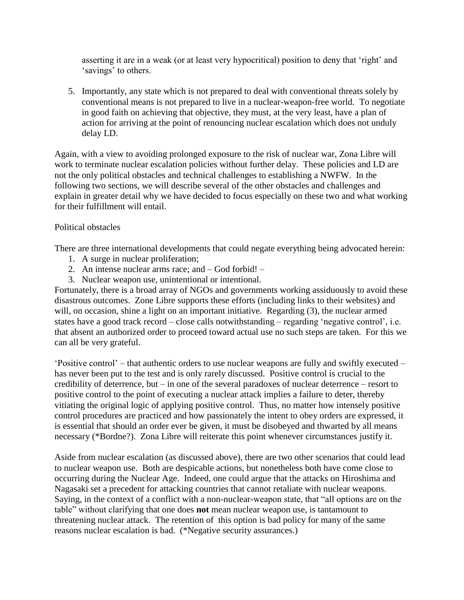asserting it are in a weak (or at least very hypocritical) position to deny that 'right' and 'savings' to others.

5. Importantly, any state which is not prepared to deal with conventional threats solely by conventional means is not prepared to live in a nuclear-weapon-free world. To negotiate in good faith on achieving that objective, they must, at the very least, have a plan of action for arriving at the point of renouncing nuclear escalation which does not unduly delay LD.

Again, with a view to avoiding prolonged exposure to the risk of nuclear war, Zona Libre will work to terminate nuclear escalation policies without further delay. These policies and LD are not the only political obstacles and technical challenges to establishing a NWFW. In the following two sections, we will describe several of the other obstacles and challenges and explain in greater detail why we have decided to focus especially on these two and what working for their fulfillment will entail.

#### Political obstacles

There are three international developments that could negate everything being advocated herein:

- 1. A surge in nuclear proliferation;
- 2. An intense nuclear arms race; and God forbid! –
- 3. Nuclear weapon use, unintentional or intentional.

Fortunately, there is a broad array of NGOs and governments working assiduously to avoid these disastrous outcomes. Zone Libre supports these efforts (including links to their websites) and will, on occasion, shine a light on an important initiative. Regarding (3), the nuclear armed states have a good track record – close calls notwithstanding – regarding 'negative control', i.e. that absent an authorized order to proceed toward actual use no such steps are taken. For this we can all be very grateful.

'Positive control' – that authentic orders to use nuclear weapons are fully and swiftly executed – has never been put to the test and is only rarely discussed. Positive control is crucial to the credibility of deterrence, but – in one of the several paradoxes of nuclear deterrence – resort to positive control to the point of executing a nuclear attack implies a failure to deter, thereby vitiating the original logic of applying positive control. Thus, no matter how intensely positive control procedures are practiced and how passionately the intent to obey orders are expressed, it is essential that should an order ever be given, it must be disobeyed and thwarted by all means necessary (\*Bordne?). Zona Libre will reiterate this point whenever circumstances justify it.

Aside from nuclear escalation (as discussed above), there are two other scenarios that could lead to nuclear weapon use. Both are despicable actions, but nonetheless both have come close to occurring during the Nuclear Age. Indeed, one could argue that the attacks on Hiroshima and Nagasaki set a precedent for attacking countries that cannot retaliate with nuclear weapons. Saying, in the context of a conflict with a non-nuclear-weapon state, that "all options are on the table" without clarifying that one does **not** mean nuclear weapon use, is tantamount to threatening nuclear attack. The retention of this option is bad policy for many of the same reasons nuclear escalation is bad. (\*Negative security assurances.)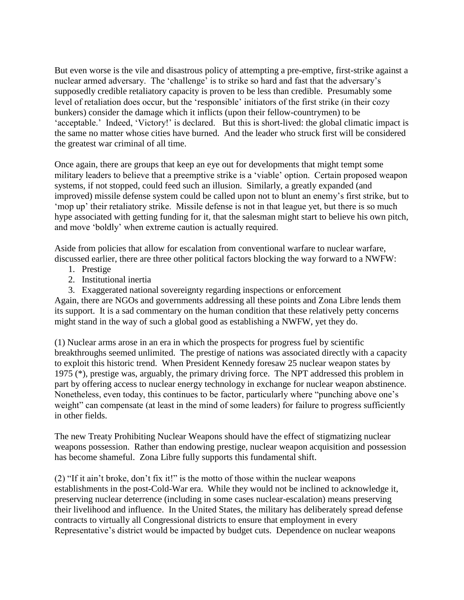But even worse is the vile and disastrous policy of attempting a pre-emptive, first-strike against a nuclear armed adversary. The 'challenge' is to strike so hard and fast that the adversary's supposedly credible retaliatory capacity is proven to be less than credible. Presumably some level of retaliation does occur, but the 'responsible' initiators of the first strike (in their cozy bunkers) consider the damage which it inflicts (upon their fellow-countrymen) to be 'acceptable.' Indeed, 'Victory!' is declared. But this is short-lived: the global climatic impact is the same no matter whose cities have burned. And the leader who struck first will be considered the greatest war criminal of all time.

Once again, there are groups that keep an eye out for developments that might tempt some military leaders to believe that a preemptive strike is a 'viable' option. Certain proposed weapon systems, if not stopped, could feed such an illusion. Similarly, a greatly expanded (and improved) missile defense system could be called upon not to blunt an enemy's first strike, but to 'mop up' their retaliatory strike. Missile defense is not in that league yet, but there is so much hype associated with getting funding for it, that the salesman might start to believe his own pitch, and move 'boldly' when extreme caution is actually required.

Aside from policies that allow for escalation from conventional warfare to nuclear warfare, discussed earlier, there are three other political factors blocking the way forward to a NWFW:

- 1. Prestige
- 2. Institutional inertia

3. Exaggerated national sovereignty regarding inspections or enforcement Again, there are NGOs and governments addressing all these points and Zona Libre lends them its support. It is a sad commentary on the human condition that these relatively petty concerns might stand in the way of such a global good as establishing a NWFW, yet they do.

(1) Nuclear arms arose in an era in which the prospects for progress fuel by scientific breakthroughs seemed unlimited. The prestige of nations was associated directly with a capacity to exploit this historic trend. When President Kennedy foresaw 25 nuclear weapon states by 1975 (\*), prestige was, arguably, the primary driving force. The NPT addressed this problem in part by offering access to nuclear energy technology in exchange for nuclear weapon abstinence. Nonetheless, even today, this continues to be factor, particularly where "punching above one's weight" can compensate (at least in the mind of some leaders) for failure to progress sufficiently in other fields.

The new Treaty Prohibiting Nuclear Weapons should have the effect of stigmatizing nuclear weapons possession. Rather than endowing prestige, nuclear weapon acquisition and possession has become shameful. Zona Libre fully supports this fundamental shift.

(2) "If it ain't broke, don't fix it!" is the motto of those within the nuclear weapons establishments in the post-Cold-War era. While they would not be inclined to acknowledge it, preserving nuclear deterrence (including in some cases nuclear-escalation) means preserving their livelihood and influence. In the United States, the military has deliberately spread defense contracts to virtually all Congressional districts to ensure that employment in every Representative's district would be impacted by budget cuts. Dependence on nuclear weapons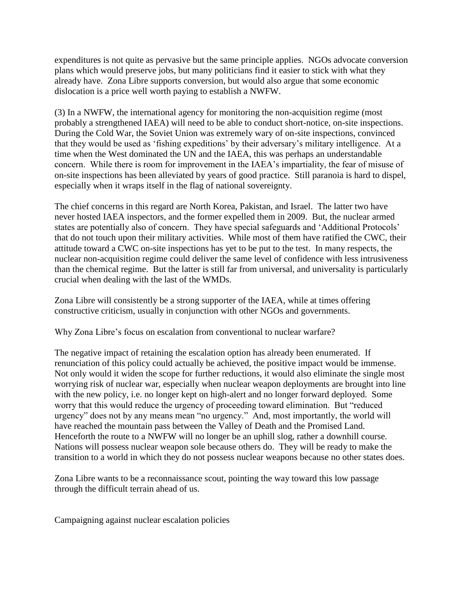expenditures is not quite as pervasive but the same principle applies. NGOs advocate conversion plans which would preserve jobs, but many politicians find it easier to stick with what they already have. Zona Libre supports conversion, but would also argue that some economic dislocation is a price well worth paying to establish a NWFW.

(3) In a NWFW, the international agency for monitoring the non-acquisition regime (most probably a strengthened IAEA) will need to be able to conduct short-notice, on-site inspections. During the Cold War, the Soviet Union was extremely wary of on-site inspections, convinced that they would be used as 'fishing expeditions' by their adversary's military intelligence. At a time when the West dominated the UN and the IAEA, this was perhaps an understandable concern. While there is room for improvement in the IAEA's impartiality, the fear of misuse of on-site inspections has been alleviated by years of good practice. Still paranoia is hard to dispel, especially when it wraps itself in the flag of national sovereignty.

The chief concerns in this regard are North Korea, Pakistan, and Israel. The latter two have never hosted IAEA inspectors, and the former expelled them in 2009. But, the nuclear armed states are potentially also of concern. They have special safeguards and 'Additional Protocols' that do not touch upon their military activities. While most of them have ratified the CWC, their attitude toward a CWC on-site inspections has yet to be put to the test. In many respects, the nuclear non-acquisition regime could deliver the same level of confidence with less intrusiveness than the chemical regime. But the latter is still far from universal, and universality is particularly crucial when dealing with the last of the WMDs.

Zona Libre will consistently be a strong supporter of the IAEA, while at times offering constructive criticism, usually in conjunction with other NGOs and governments.

Why Zona Libre's focus on escalation from conventional to nuclear warfare?

The negative impact of retaining the escalation option has already been enumerated. If renunciation of this policy could actually be achieved, the positive impact would be immense. Not only would it widen the scope for further reductions, it would also eliminate the single most worrying risk of nuclear war, especially when nuclear weapon deployments are brought into line with the new policy, i.e. no longer kept on high-alert and no longer forward deployed. Some worry that this would reduce the urgency of proceeding toward elimination. But "reduced urgency" does not by any means mean "no urgency." And, most importantly, the world will have reached the mountain pass between the Valley of Death and the Promised Land. Henceforth the route to a NWFW will no longer be an uphill slog, rather a downhill course. Nations will possess nuclear weapon sole because others do. They will be ready to make the transition to a world in which they do not possess nuclear weapons because no other states does.

Zona Libre wants to be a reconnaissance scout, pointing the way toward this low passage through the difficult terrain ahead of us.

Campaigning against nuclear escalation policies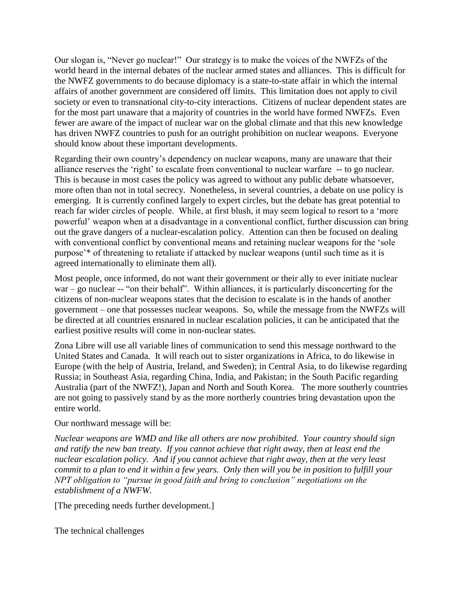Our slogan is, "Never go nuclear!" Our strategy is to make the voices of the NWFZs of the world heard in the internal debates of the nuclear armed states and alliances. This is difficult for the NWFZ governments to do because diplomacy is a state-to-state affair in which the internal affairs of another government are considered off limits. This limitation does not apply to civil society or even to transnational city-to-city interactions. Citizens of nuclear dependent states are for the most part unaware that a majority of countries in the world have formed NWFZs. Even fewer are aware of the impact of nuclear war on the global climate and that this new knowledge has driven NWFZ countries to push for an outright prohibition on nuclear weapons. Everyone should know about these important developments.

Regarding their own country's dependency on nuclear weapons, many are unaware that their alliance reserves the 'right' to escalate from conventional to nuclear warfare -- to go nuclear. This is because in most cases the policy was agreed to without any public debate whatsoever, more often than not in total secrecy. Nonetheless, in several countries, a debate on use policy is emerging. It is currently confined largely to expert circles, but the debate has great potential to reach far wider circles of people. While, at first blush, it may seem logical to resort to a 'more powerful' weapon when at a disadvantage in a conventional conflict, further discussion can bring out the grave dangers of a nuclear-escalation policy. Attention can then be focused on dealing with conventional conflict by conventional means and retaining nuclear weapons for the 'sole purpose'\* of threatening to retaliate if attacked by nuclear weapons (until such time as it is agreed internationally to eliminate them all).

Most people, once informed, do not want their government or their ally to ever initiate nuclear war – go nuclear -- "on their behalf". Within alliances, it is particularly disconcerting for the citizens of non-nuclear weapons states that the decision to escalate is in the hands of another government – one that possesses nuclear weapons. So, while the message from the NWFZs will be directed at all countries ensnared in nuclear escalation policies, it can be anticipated that the earliest positive results will come in non-nuclear states.

Zona Libre will use all variable lines of communication to send this message northward to the United States and Canada. It will reach out to sister organizations in Africa, to do likewise in Europe (with the help of Austria, Ireland, and Sweden); in Central Asia, to do likewise regarding Russia; in Southeast Asia, regarding China, India, and Pakistan; in the South Pacific regarding Australia (part of the NWFZ!), Japan and North and South Korea. The more southerly countries are not going to passively stand by as the more northerly countries bring devastation upon the entire world.

#### Our northward message will be:

*Nuclear weapons are WMD and like all others are now prohibited. Your country should sign and ratify the new ban treaty. If you cannot achieve that right away, then at least end the nuclear escalation policy. And if you cannot achieve that right away, then at the very least commit to a plan to end it within a few years. Only then will you be in position to fulfill your NPT obligation to "pursue in good faith and bring to conclusion" negotiations on the establishment of a NWFW.* 

[The preceding needs further development.]

The technical challenges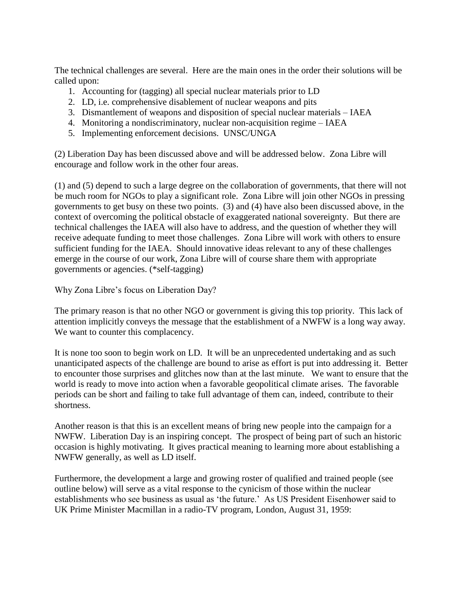The technical challenges are several. Here are the main ones in the order their solutions will be called upon:

- 1. Accounting for (tagging) all special nuclear materials prior to LD
- 2. LD, i.e. comprehensive disablement of nuclear weapons and pits
- 3. Dismantlement of weapons and disposition of special nuclear materials IAEA
- 4. Monitoring a nondiscriminatory, nuclear non-acquisition regime IAEA
- 5. Implementing enforcement decisions. UNSC/UNGA

(2) Liberation Day has been discussed above and will be addressed below. Zona Libre will encourage and follow work in the other four areas.

(1) and (5) depend to such a large degree on the collaboration of governments, that there will not be much room for NGOs to play a significant role. Zona Libre will join other NGOs in pressing governments to get busy on these two points. (3) and (4) have also been discussed above, in the context of overcoming the political obstacle of exaggerated national sovereignty. But there are technical challenges the IAEA will also have to address, and the question of whether they will receive adequate funding to meet those challenges. Zona Libre will work with others to ensure sufficient funding for the IAEA. Should innovative ideas relevant to any of these challenges emerge in the course of our work, Zona Libre will of course share them with appropriate governments or agencies. (\*self-tagging)

Why Zona Libre's focus on Liberation Day?

The primary reason is that no other NGO or government is giving this top priority. This lack of attention implicitly conveys the message that the establishment of a NWFW is a long way away. We want to counter this complacency.

It is none too soon to begin work on LD. It will be an unprecedented undertaking and as such unanticipated aspects of the challenge are bound to arise as effort is put into addressing it. Better to encounter those surprises and glitches now than at the last minute. We want to ensure that the world is ready to move into action when a favorable geopolitical climate arises. The favorable periods can be short and failing to take full advantage of them can, indeed, contribute to their shortness.

Another reason is that this is an excellent means of bring new people into the campaign for a NWFW. Liberation Day is an inspiring concept. The prospect of being part of such an historic occasion is highly motivating. It gives practical meaning to learning more about establishing a NWFW generally, as well as LD itself.

Furthermore, the development a large and growing roster of qualified and trained people (see outline below) will serve as a vital response to the cynicism of those within the nuclear establishments who see business as usual as 'the future.' As US President Eisenhower said to UK Prime Minister Macmillan in a radio-TV program, London, August 31, 1959: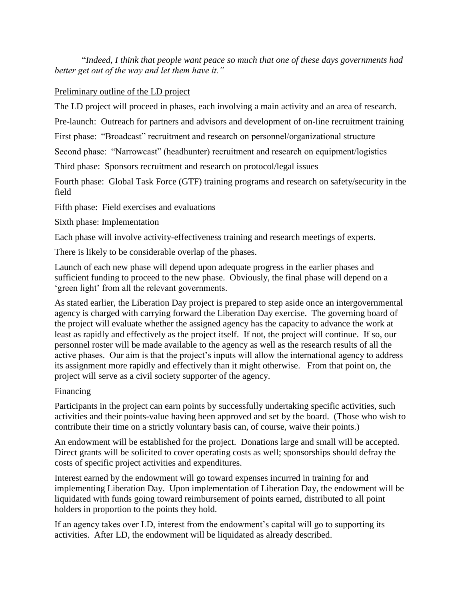"*Indeed, I think that people want peace so much that one of these days governments had better get out of the way and let them have it."*

#### Preliminary outline of the LD project

The LD project will proceed in phases, each involving a main activity and an area of research.

Pre-launch: Outreach for partners and advisors and development of on-line recruitment training

First phase: "Broadcast" recruitment and research on personnel/organizational structure

Second phase: "Narrowcast" (headhunter) recruitment and research on equipment/logistics

Third phase: Sponsors recruitment and research on protocol/legal issues

Fourth phase: Global Task Force (GTF) training programs and research on safety/security in the field

Fifth phase: Field exercises and evaluations

Sixth phase: Implementation

Each phase will involve activity-effectiveness training and research meetings of experts.

There is likely to be considerable overlap of the phases.

Launch of each new phase will depend upon adequate progress in the earlier phases and sufficient funding to proceed to the new phase. Obviously, the final phase will depend on a 'green light' from all the relevant governments.

As stated earlier, the Liberation Day project is prepared to step aside once an intergovernmental agency is charged with carrying forward the Liberation Day exercise. The governing board of the project will evaluate whether the assigned agency has the capacity to advance the work at least as rapidly and effectively as the project itself. If not, the project will continue. If so, our personnel roster will be made available to the agency as well as the research results of all the active phases. Our aim is that the project's inputs will allow the international agency to address its assignment more rapidly and effectively than it might otherwise. From that point on, the project will serve as a civil society supporter of the agency.

#### Financing

Participants in the project can earn points by successfully undertaking specific activities, such activities and their points-value having been approved and set by the board. (Those who wish to contribute their time on a strictly voluntary basis can, of course, waive their points.)

An endowment will be established for the project. Donations large and small will be accepted. Direct grants will be solicited to cover operating costs as well; sponsorships should defray the costs of specific project activities and expenditures.

Interest earned by the endowment will go toward expenses incurred in training for and implementing Liberation Day. Upon implementation of Liberation Day, the endowment will be liquidated with funds going toward reimbursement of points earned, distributed to all point holders in proportion to the points they hold.

If an agency takes over LD, interest from the endowment's capital will go to supporting its activities. After LD, the endowment will be liquidated as already described.